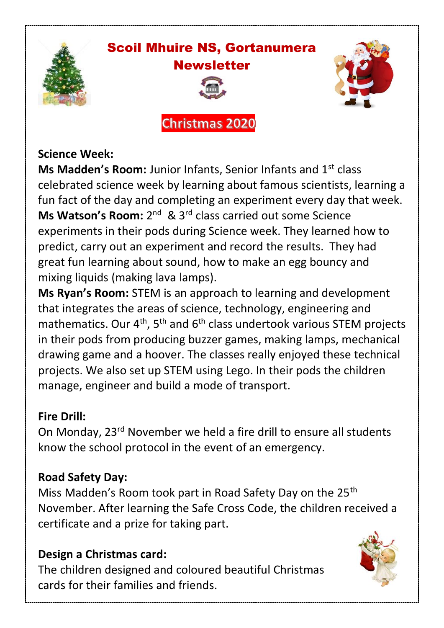

# Scoil Mhuire NS, Gortanumera **Newsletter**

**Christmas 2020** 



#### **Science Week:**

**Ms Madden's Room:** Junior Infants, Senior Infants and 1st class celebrated science week by learning about famous scientists, learning a fun fact of the day and completing an experiment every day that week. **Ms Watson's Room:** 2<sup>nd</sup> & 3<sup>rd</sup> class carried out some Science experiments in their pods during Science week. They learned how to predict, carry out an experiment and record the results. They had great fun learning about sound, how to make an egg bouncy and mixing liquids (making lava lamps).

**Ms Ryan's Room:** STEM is an approach to learning and development that integrates the areas of science, technology, engineering and mathematics. Our  $4<sup>th</sup>$ , 5<sup>th</sup> and  $6<sup>th</sup>$  class undertook various STEM projects in their pods from producing buzzer games, making lamps, mechanical drawing game and a hoover. The classes really enjoyed these technical projects. We also set up STEM using Lego. In their pods the children manage, engineer and build a mode of transport.

#### **Fire Drill:**

On Monday, 23rd November we held a fire drill to ensure all students know the school protocol in the event of an emergency.

# **Road Safety Day:**

Miss Madden's Room took part in Road Safety Day on the 25<sup>th</sup> November. After learning the Safe Cross Code, the children received a certificate and a prize for taking part.

# **Design a Christmas card:**

The children designed and coloured beautiful Christmas cards for their families and friends.

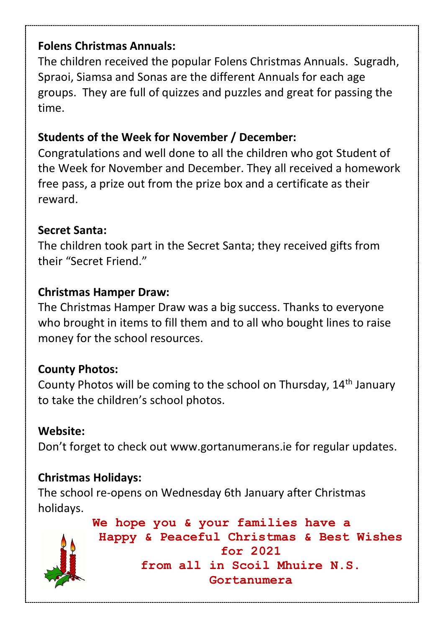#### **Folens Christmas Annuals:**

The children received the popular Folens Christmas Annuals. Sugradh, Spraoi, Siamsa and Sonas are the different Annuals for each age groups. They are full of quizzes and puzzles and great for passing the time.

# **Students of the Week for November / December:**

Congratulations and well done to all the children who got Student of the Week for November and December. They all received a homework free pass, a prize out from the prize box and a certificate as their reward.

#### **Secret Santa:**

The children took part in the Secret Santa; they received gifts from their "Secret Friend."

#### **Christmas Hamper Draw:**

The Christmas Hamper Draw was a big success. Thanks to everyone who brought in items to fill them and to all who bought lines to raise money for the school resources.

# **County Photos:**

County Photos will be coming to the school on Thursday, 14th January to take the children's school photos.

#### **Website:**

Don't forget to check out [www.gortanumerans.ie](http://www.gortanumerans.ie/) for regular updates.

# **Christmas Holidays:**

The school re-opens on Wednesday 6th January after Christmas holidays.



**We hope you & your families have a Happy & Peaceful Christmas & Best Wishes for 2021 from all in Scoil Mhuire N.S. Gortanumera**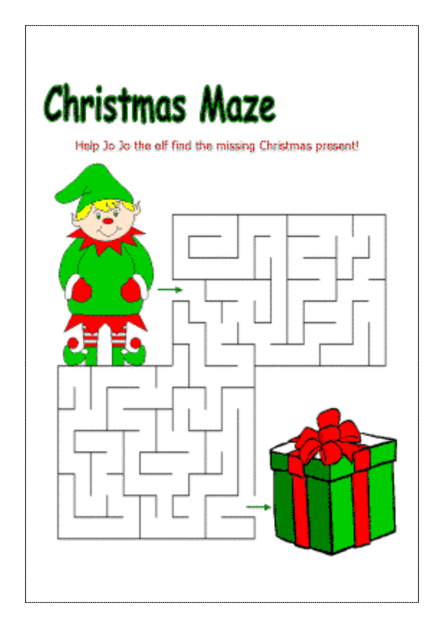# **Christmas Maze**

Help Jo Jo the elf find the missing Christmas present!